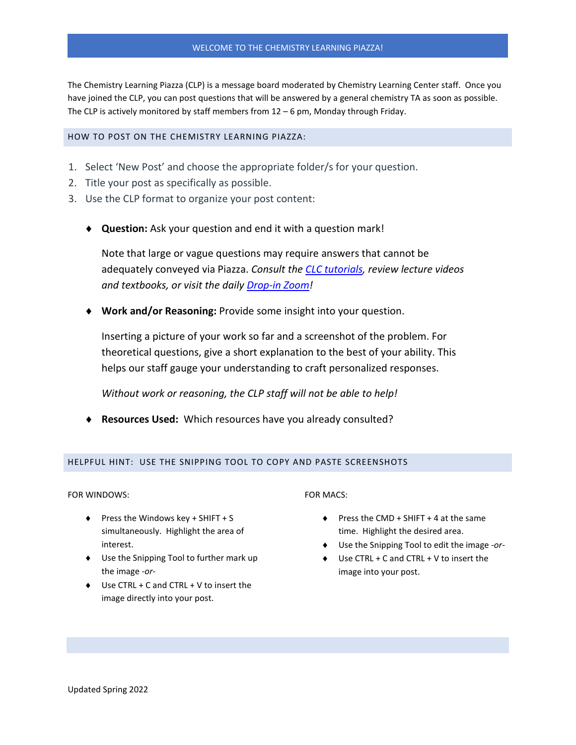## WELCOME TO THE CHEMISTRY LEARNING PIAZZA!

The Chemistry Learning Piazza (CLP) is a message board moderated by Chemistry Learning Center staff. Once you have joined the CLP, you can post questions that will be answered by a general chemistry TA as soon as possible. The CLP is actively monitored by staff members from  $12 - 6$  pm, Monday through Friday.

## HOW TO POST ON THE CHEMISTRY LEARNING PIAZZA:

- 1. Select 'New Post' and choose the appropriate folder/s for your question.
- 2. Title your post as specifically as possible.
- 3. Use the CLP format to organize your post content:
	- ♦ **Question:** Ask your question and end it with a question mark!

Note that large or vague questions may require answers that cannot be adequately conveyed via Piazza. *Consult the CLC [tutorials,](https://chemistry.illinois.edu/clc/tutorials) review lecture videos and textbooks, or visit the daily [Drop-in Zoom!](https://chemistry.illinois.edu/clc/virtual-clc)*

♦ **Work and/or Reasoning:** Provide some insight into your question.

Inserting a picture of your work so far and a screenshot of the problem. For theoretical questions, give a short explanation to the best of your ability. This helps our staff gauge your understanding to craft personalized responses.

*Without work or reasoning, the CLP staff will not be able to help!*

♦ **Resources Used:** Which resources have you already consulted?

#### HELPFUL HINT: USE THE SNIPPING TOOL TO COPY AND PASTE SCREENSHOTS

FOR WINDOWS:

- $\blacklozenge$  Press the Windows key + SHIFT + S simultaneously. Highlight the area of interest.
- ♦ Use the Snipping Tool to further mark up the image *-or-*
- ♦ Use CTRL + C and CTRL + V to insert the image directly into your post.

### FOR MACS:

- ♦ Press the CMD + SHIFT + 4 at the same time. Highlight the desired area.
- ♦ Use the Snipping Tool to edit the image *-or-*
- $\triangleright$  Use CTRL + C and CTRL + V to insert the image into your post.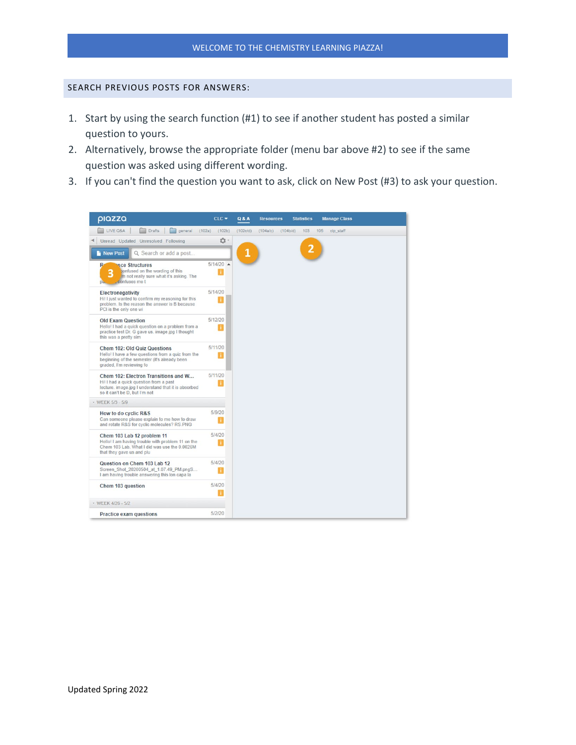# SEARCH PREVIOUS POSTS FOR ANSWERS:

- 1. Start by using the search function (#1) to see if another student has posted a similar question to yours.
- 2. Alternatively, browse the appropriate folder (menu bar above #2) to see if the same question was asked using different wording.
- 3. If you can't find the question you want to ask, click on New Post (#3) to ask your question.